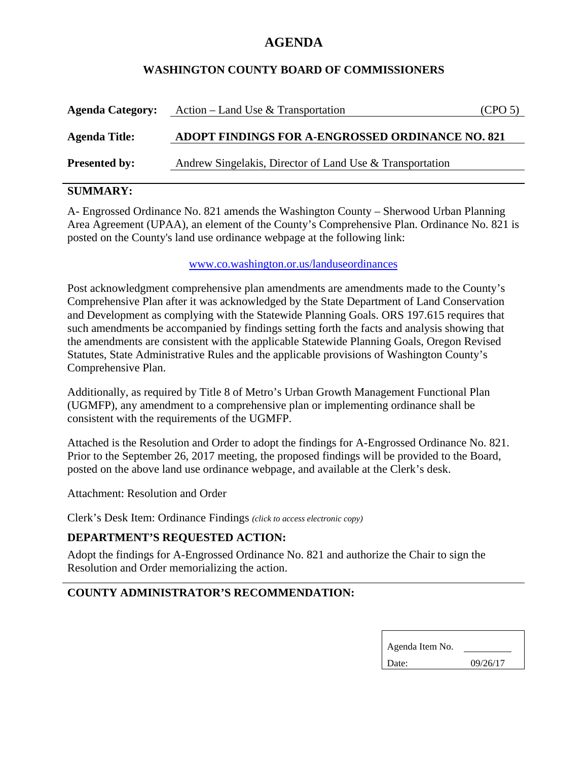# **AGENDA**

### **WASHINGTON COUNTY BOARD OF COMMISSIONERS**

| <b>Agenda Category:</b> | Action – Land Use & Transportation                       | (CPO <sub>5</sub> ) |
|-------------------------|----------------------------------------------------------|---------------------|
| <b>Agenda Title:</b>    | ADOPT FINDINGS FOR A-ENGROSSED ORDINANCE NO. 821         |                     |
| <b>Presented by:</b>    | Andrew Singelakis, Director of Land Use & Transportation |                     |

# **SUMMARY:**

A- Engrossed Ordinance No. 821 amends the Washington County – Sherwood Urban Planning Area Agreement (UPAA), an element of the County's Comprehensive Plan. Ordinance No. 821 is posted on the County's land use ordinance webpage at the following link:

#### www.co.washington.or.us/landuseordinances

Post acknowledgment comprehensive plan amendments are amendments made to the County's Comprehensive Plan after it was acknowledged by the State Department of Land Conservation and Development as complying with the Statewide Planning Goals. ORS 197.615 requires that such amendments be accompanied by findings setting forth the facts and analysis showing that the amendments are consistent with the applicable Statewide Planning Goals, Oregon Revised Statutes, State Administrative Rules and the applicable provisions of Washington County's Comprehensive Plan.

Additionally, as required by Title 8 of Metro's Urban Growth Management Functional Plan (UGMFP), any amendment to a comprehensive plan or implementing ordinance shall be consistent with the requirements of the UGMFP.

Attached is the Resolution and Order to adopt the findings for A-Engrossed Ordinance No. 821. Prior to the September 26, 2017 meeting, the proposed findings will be provided to the Board, posted on the above land use ordinance webpage, and available at the Clerk's desk.

Attachment: Resolution and Order

Clerk's Desk Item: Ordinance Findings *(click to access electronic copy)*

# **DEPARTMENT'S REQUESTED ACTION:**

Adopt the findings for A-Engrossed Ordinance No. 821 and authorize the Chair to sign the Resolution and Order memorializing the action.

# **COUNTY ADMINISTRATOR'S RECOMMENDATION:**

| Agenda Item No. |          |  |
|-----------------|----------|--|
| Date:           | 09/26/17 |  |